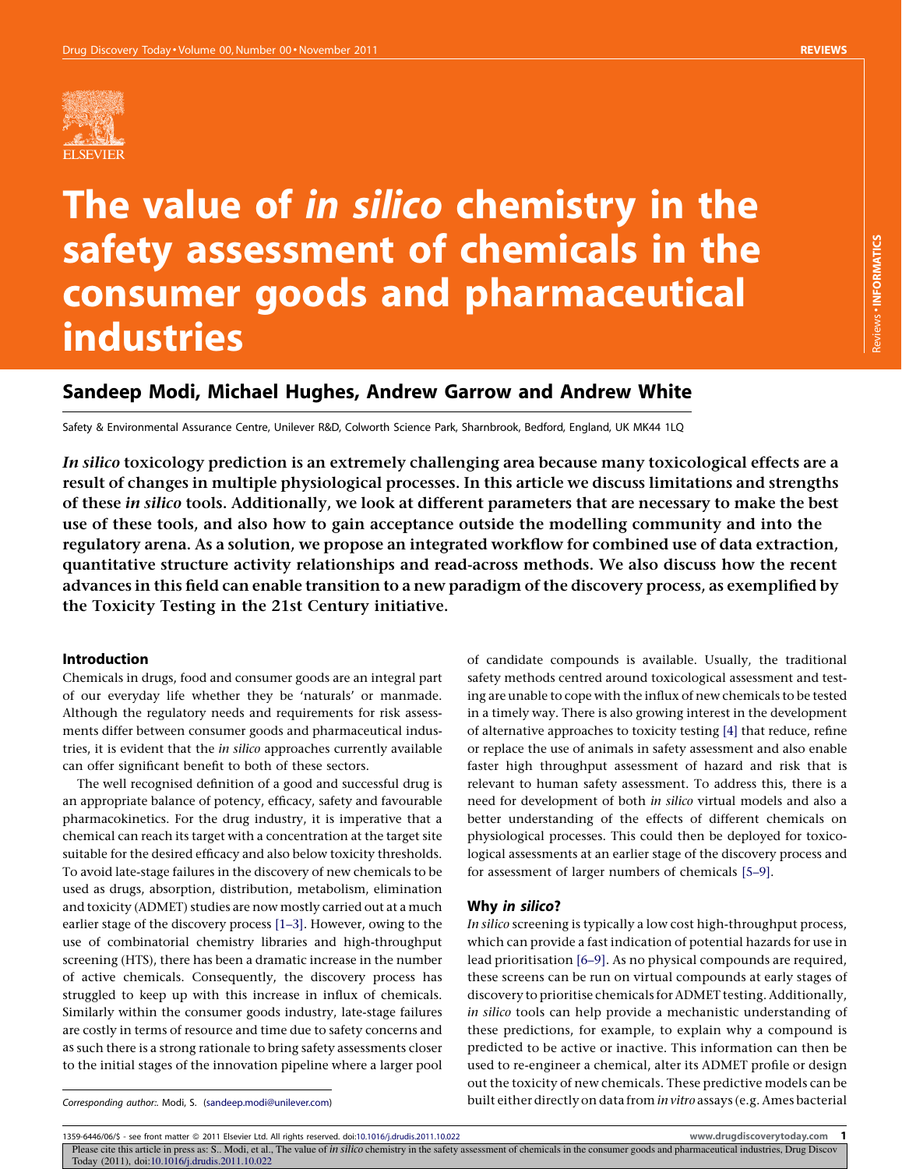

# The value of in silico chemistry in the safety assessment of chemicals in the consumer goods and pharmaceutical industries

# leviews . INFORMATICS INFORMATICS Reviews -

# Sandeep Modi, Michael Hughes, Andrew Garrow and Andrew White

Safety & Environmental Assurance Centre, Unilever R&D, Colworth Science Park, Sharnbrook, Bedford, England, UK MK44 1LQ

In silico toxicology prediction is an extremely challenging area because many toxicological effects are a result of changes in multiple physiological processes. In this article we discuss limitations and strengths of these in silico tools. Additionally, we look at different parameters that are necessary to make the best use of these tools, and also how to gain acceptance outside the modelling community and into the regulatory arena. As a solution, we propose an integrated workflow for combined use of data extraction, quantitative structure activity relationships and read-across methods. We also discuss how the recent advances in this field can enable transition to a new paradigm of the discovery process, as exemplified by the Toxicity Testing in the 21st Century initiative.

### Introduction

Chemicals in drugs, food and consumer goods are an integral part of our everyday life whether they be 'naturals' or manmade. Although the regulatory needs and requirements for risk assessments differ between consumer goods and pharmaceutical industries, it is evident that the in silico approaches currently available can offer significant benefit to both of these sectors.

The well recognised definition of a good and successful drug is an appropriate balance of potency, efficacy, safety and favourable pharmacokinetics. For the drug industry, it is imperative that a chemical can reach its target with a concentration at the target site suitable for the desired efficacy and also below toxicity thresholds. To avoid late-stage failures in the discovery of new chemicals to be used as drugs, absorption, distribution, metabolism, elimination and toxicity (ADMET) studies are now mostly carried out at a much earlier stage of the discovery process [\[1–3\]](#page-6-0). However, owing to the use of combinatorial chemistry libraries and high-throughput screening (HTS), there has been a dramatic increase in the number of active chemicals. Consequently, the discovery process has struggled to keep up with this increase in influx of chemicals. Similarly within the consumer goods industry, late-stage failures are costly in terms of resource and time due to safety concerns and as such there is a strong rationale to bring safety assessments closer to the initial stages of the innovation pipeline where a larger pool

of candidate compounds is available. Usually, the traditional safety methods centred around toxicological assessment and testing are unable to cope with the influx of new chemicals to be tested in a timely way. There is also growing interest in the development of alternative approaches to toxicity testing [\[4\]](#page-6-0) that reduce, refine or replace the use of animals in safety assessment and also enable faster high throughput assessment of hazard and risk that is relevant to human safety assessment. To address this, there is a need for development of both in silico virtual models and also a better understanding of the effects of different chemicals on physiological processes. This could then be deployed for toxicological assessments at an earlier stage of the discovery process and for assessment of larger numbers of chemicals [\[5–9\]](#page-6-0).

#### Why in silico?

In silico screening is typically a low cost high-throughput process, which can provide a fast indication of potential hazards for use in lead prioritisation [\[6–9\].](#page-6-0) As no physical compounds are required, these screens can be run on virtual compounds at early stages of discovery to prioritise chemicals for ADMET testing. Additionally, in silico tools can help provide a mechanistic understanding of these predictions, for example, to explain why a compound is predicted to be active or inactive. This information can then be used to re-engineer a chemical, alter its ADMET profile or design out the toxicity of new chemicals. These predictive models can be built either directly on data from in vitro assays (e.g.Ames bacterial

1359-6446/06/\$ - see front matter © 2011 Elsevier Ltd. All rights reserved. doi:[10.1016/j.drudis.2011.10.022](http://dx.doi.org/10.1016/j.drudis.2011.10.022) www.drugdiscoverytoday.com 1

Corresponding author:. Modi, S. [\(sandeep.modi@unilever.com\)](mailto:sandeep.modi@unilever.com)

Please cite this article in press as: S.. Modi, et al., The value of in silico chemistry in the safety assessment of chemicals in the consumer goods and pharmaceutical industries, Drug Discov Today (2011), doi[:10.1016/j.drudis.2011.10.022](http://dx.doi.org/10.1016/j.drudis.2011.10.022)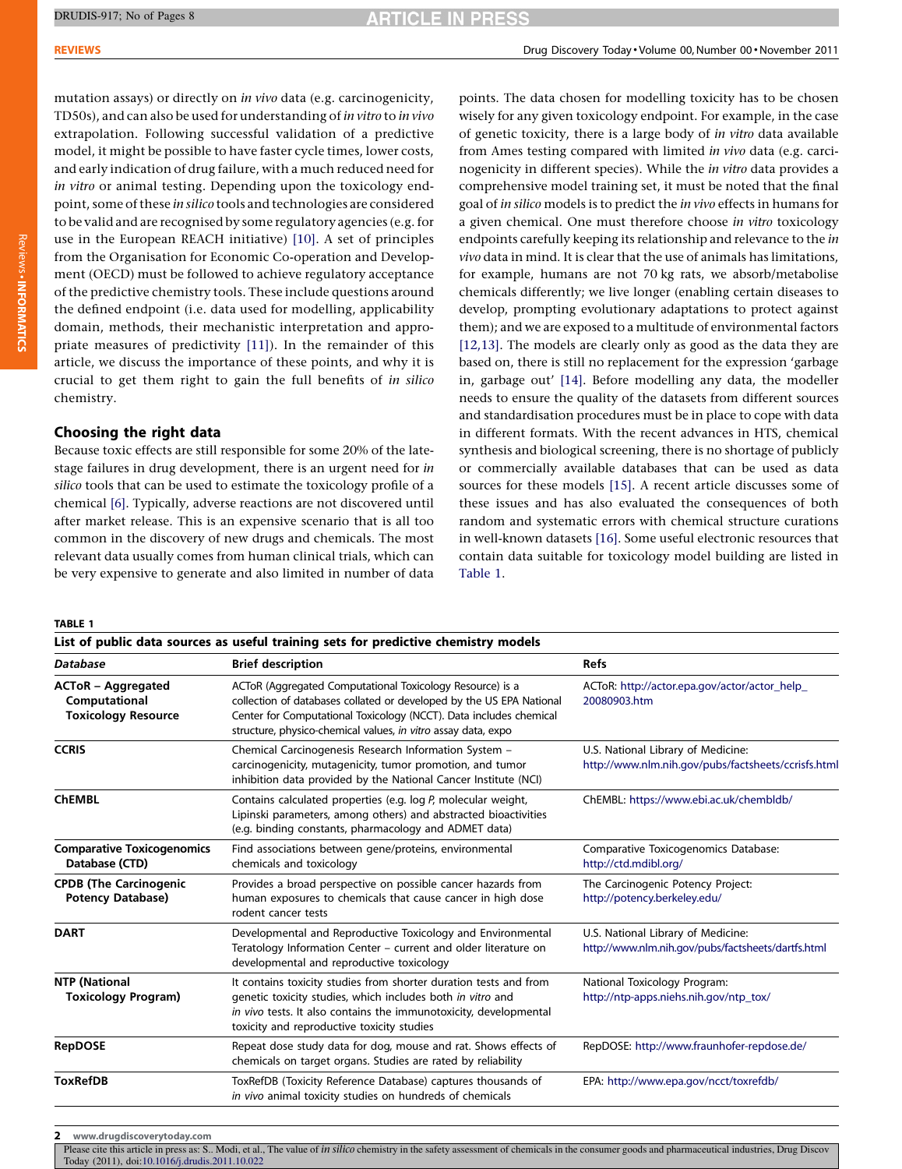mutation assays) or directly on in vivo data (e.g. carcinogenicity, TD50s), and can also be used for understanding of in vitro to in vivo extrapolation. Following successful validation of a predictive model, it might be possible to have faster cycle times, lower costs, and early indication of drug failure, with a much reduced need for in vitro or animal testing. Depending upon the toxicology endpoint, some of these in silico tools and technologies are considered to be valid and are recognised by some regulatory agencies (e.g.for use in the European REACH initiative) [\[10\]](#page-6-0). A set of principles from the Organisation for Economic Co-operation and Development (OECD) must be followed to achieve regulatory acceptance of the predictive chemistry tools. These include questions around the defined endpoint (i.e. data used for modelling, applicability domain, methods, their mechanistic interpretation and appropriate measures of predictivity [\[11\]](#page-6-0)). In the remainder of this article, we discuss the importance of these points, and why it is crucial to get them right to gain the full benefits of in silico chemistry.

#### Choosing the right data

Because toxic effects are still responsible for some 20% of the latestage failures in drug development, there is an urgent need for in silico tools that can be used to estimate the toxicology profile of a chemical [\[6\]](#page-6-0). Typically, adverse reactions are not discovered until after market release. This is an expensive scenario that is all too common in the discovery of new drugs and chemicals. The most relevant data usually comes from human clinical trials, which can be very expensive to generate and also limited in number of data points. The data chosen for modelling toxicity has to be chosen wisely for any given toxicology endpoint. For example, in the case of genetic toxicity, there is a large body of in vitro data available from Ames testing compared with limited in vivo data (e.g. carcinogenicity in different species). While the in vitro data provides a comprehensive model training set, it must be noted that the final goal of in silico models is to predict the in vivo effects in humans for a given chemical. One must therefore choose in vitro toxicology endpoints carefully keeping its relationship and relevance to the in vivo data in mind. It is clear that the use of animals has limitations, for example, humans are not 70 kg rats, we absorb/metabolise chemicals differently; we live longer (enabling certain diseases to develop, prompting evolutionary adaptations to protect against them); and we are exposed to a multitude of environmental factors [\[12,13\]](#page-6-0). The models are clearly only as good as the data they are based on, there is still no replacement for the expression 'garbage in, garbage out' [\[14\].](#page-7-0) Before modelling any data, the modeller needs to ensure the quality of the datasets from different sources and standardisation procedures must be in place to cope with data in different formats. With the recent advances in HTS, chemical synthesis and biological screening, there is no shortage of publicly or commercially available databases that can be used as data sources for these models [\[15\]](#page-7-0). A recent article discusses some of these issues and has also evaluated the consequences of both random and systematic errors with chemical structure curations in well-known datasets [\[16\].](#page-7-0) Some useful electronic resources that contain data suitable for toxicology model building are listed in Table 1.

TABLE 1

| List of public data sources as useful training sets for predictive chemistry models |                                                                                                                                                                                                                                                                          |                                                                                           |  |
|-------------------------------------------------------------------------------------|--------------------------------------------------------------------------------------------------------------------------------------------------------------------------------------------------------------------------------------------------------------------------|-------------------------------------------------------------------------------------------|--|
| <b>Database</b>                                                                     | <b>Brief description</b>                                                                                                                                                                                                                                                 | <b>Refs</b>                                                                               |  |
| <b>ACToR - Aggregated</b><br>Computational<br><b>Toxicology Resource</b>            | ACToR (Aggregated Computational Toxicology Resource) is a<br>collection of databases collated or developed by the US EPA National<br>Center for Computational Toxicology (NCCT). Data includes chemical<br>structure, physico-chemical values, in vitro assay data, expo | ACToR: http://actor.epa.gov/actor/actor_help<br>20080903.htm                              |  |
| <b>CCRIS</b>                                                                        | Chemical Carcinogenesis Research Information System -<br>carcinogenicity, mutagenicity, tumor promotion, and tumor<br>inhibition data provided by the National Cancer Institute (NCI)                                                                                    | U.S. National Library of Medicine:<br>http://www.nlm.nih.gov/pubs/factsheets/ccrisfs.html |  |
| <b>ChEMBL</b>                                                                       | Contains calculated properties (e.g. log P, molecular weight,<br>Lipinski parameters, among others) and abstracted bioactivities<br>(e.g. binding constants, pharmacology and ADMET data)                                                                                | ChEMBL: https://www.ebi.ac.uk/chembldb/                                                   |  |
| <b>Comparative Toxicogenomics</b><br>Database (CTD)                                 | Find associations between gene/proteins, environmental<br>chemicals and toxicology                                                                                                                                                                                       | Comparative Toxicogenomics Database:<br>http://ctd.mdibl.org/                             |  |
| <b>CPDB (The Carcinogenic</b><br><b>Potency Database)</b>                           | Provides a broad perspective on possible cancer hazards from<br>human exposures to chemicals that cause cancer in high dose<br>rodent cancer tests                                                                                                                       | The Carcinogenic Potency Project:<br>http://potency.berkeley.edu/                         |  |
| <b>DART</b>                                                                         | Developmental and Reproductive Toxicology and Environmental<br>Teratology Information Center – current and older literature on<br>developmental and reproductive toxicology                                                                                              | U.S. National Library of Medicine:<br>http://www.nlm.nih.gov/pubs/factsheets/dartfs.html  |  |
| <b>NTP (National</b><br><b>Toxicology Program)</b>                                  | It contains toxicity studies from shorter duration tests and from<br>genetic toxicity studies, which includes both in vitro and<br>in vivo tests. It also contains the immunotoxicity, developmental<br>toxicity and reproductive toxicity studies                       | National Toxicology Program:<br>http://ntp-apps.niehs.nih.gov/ntp_tox/                    |  |
| <b>RepDOSE</b>                                                                      | Repeat dose study data for dog, mouse and rat. Shows effects of<br>chemicals on target organs. Studies are rated by reliability                                                                                                                                          | RepDOSE: http://www.fraunhofer-repdose.de/                                                |  |
| <b>ToxRefDB</b>                                                                     | ToxRefDB (Toxicity Reference Database) captures thousands of<br>in vivo animal toxicity studies on hundreds of chemicals                                                                                                                                                 | EPA: http://www.epa.gov/ncct/toxrefdb/                                                    |  |

2 www.drugdiscoverytoday.com

Please cite this article in press as: S.. Modi, et al., The value of in silico chemistry in the safety assessment of chemicals in the consumer goods and pharmaceutical industries, Drug Discov Today (2011), doi:[10.1016/j.drudis.2011.10.022](http://dx.doi.org/10.1016/j.drudis.2011.10.022)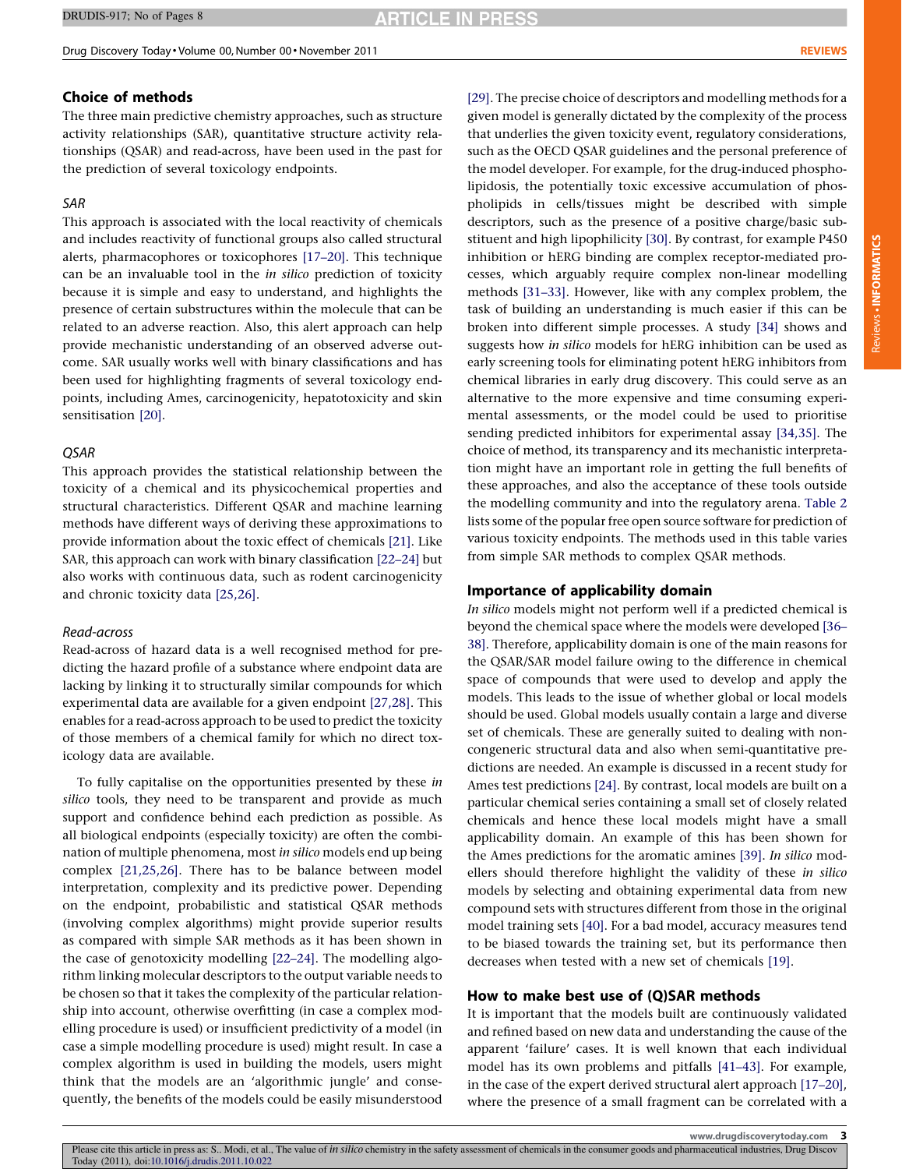DRUDIS-917; No of Pages 8

## **ARTICLE IN PRESS**

### Choice of methods

The three main predictive chemistry approaches, such as structure activity relationships (SAR), quantitative structure activity relationships (QSAR) and read-across, have been used in the past for the prediction of several toxicology endpoints.

#### SAR

This approach is associated with the local reactivity of chemicals and includes reactivity of functional groups also called structural alerts, pharmacophores or toxicophores [\[17–20\].](#page-7-0) This technique can be an invaluable tool in the in silico prediction of toxicity because it is simple and easy to understand, and highlights the presence of certain substructures within the molecule that can be related to an adverse reaction. Also, this alert approach can help provide mechanistic understanding of an observed adverse outcome. SAR usually works well with binary classifications and has been used for highlighting fragments of several toxicology endpoints, including Ames, carcinogenicity, hepatotoxicity and skin sensitisation [\[20\].](#page-7-0)

#### **OSAR**

This approach provides the statistical relationship between the toxicity of a chemical and its physicochemical properties and structural characteristics. Different QSAR and machine learning methods have different ways of deriving these approximations to provide information about the toxic effect of chemicals [\[21\]](#page-7-0). Like SAR, this approach can work with binary classification [\[22–24\]](#page-7-0) but also works with continuous data, such as rodent carcinogenicity and chronic toxicity data [\[25,26\].](#page-7-0)

#### Read-across

Read-across of hazard data is a well recognised method for predicting the hazard profile of a substance where endpoint data are lacking by linking it to structurally similar compounds for which experimental data are available for a given endpoint [\[27,28\].](#page-7-0) This enables for a read-across approach to be used to predict the toxicity of those members of a chemical family for which no direct toxicology data are available.

To fully capitalise on the opportunities presented by these in silico tools, they need to be transparent and provide as much support and confidence behind each prediction as possible. As all biological endpoints (especially toxicity) are often the combination of multiple phenomena, most in silico models end up being complex [\[21,25,26\]](#page-7-0). There has to be balance between model interpretation, complexity and its predictive power. Depending on the endpoint, probabilistic and statistical QSAR methods (involving complex algorithms) might provide superior results as compared with simple SAR methods as it has been shown in the case of genotoxicity modelling [\[22–24\]](#page-7-0). The modelling algorithm linking molecular descriptors to the output variable needs to be chosen so that it takes the complexity of the particular relationship into account, otherwise overfitting (in case a complex modelling procedure is used) or insufficient predictivity of a model (in case a simple modelling procedure is used) might result. In case a complex algorithm is used in building the models, users might think that the models are an 'algorithmic jungle' and consequently, the benefits of the models could be easily misunderstood

[\[29\].](#page-7-0) The precise choice of descriptors and modelling methods for a given model is generally dictated by the complexity of the process that underlies the given toxicity event, regulatory considerations, such as the OECD QSAR guidelines and the personal preference of the model developer. For example, for the drug-induced phospholipidosis, the potentially toxic excessive accumulation of phospholipids in cells/tissues might be described with simple descriptors, such as the presence of a positive charge/basic substituent and high lipophilicity [\[30\].](#page-7-0) By contrast, for example P450 inhibition or hERG binding are complex receptor-mediated processes, which arguably require complex non-linear modelling methods [\[31–33\]](#page-7-0). However, like with any complex problem, the task of building an understanding is much easier if this can be broken into different simple processes. A study [\[34\]](#page-7-0) shows and suggests how in silico models for hERG inhibition can be used as early screening tools for eliminating potent hERG inhibitors from chemical libraries in early drug discovery. This could serve as an alternative to the more expensive and time consuming experimental assessments, or the model could be used to prioritise sending predicted inhibitors for experimental assay [\[34,35\].](#page-7-0) The choice of method, its transparency and its mechanistic interpretation might have an important role in getting the full benefits of these approaches, and also the acceptance of these tools outside the modelling community and into the regulatory arena. [Table](#page-3-0) 2 lists some of the popular free open source software for prediction of various toxicity endpoints. The methods used in this table varies from simple SAR methods to complex QSAR methods.

### Importance of applicability domain

In silico models might not perform well if a predicted chemical is beyond the chemical space where the models were developed [\[36–](#page-7-0) [38\]](#page-7-0). Therefore, applicability domain is one of the main reasons for the QSAR/SAR model failure owing to the difference in chemical space of compounds that were used to develop and apply the models. This leads to the issue of whether global or local models should be used. Global models usually contain a large and diverse set of chemicals. These are generally suited to dealing with noncongeneric structural data and also when semi-quantitative predictions are needed. An example is discussed in a recent study for Ames test predictions [\[24\]](#page-7-0). By contrast, local models are built on a particular chemical series containing a small set of closely related chemicals and hence these local models might have a small applicability domain. An example of this has been shown for the Ames predictions for the aromatic amines [\[39\].](#page-7-0) In silico modellers should therefore highlight the validity of these in silico models by selecting and obtaining experimental data from new compound sets with structures different from those in the original model training sets [\[40\]](#page-7-0). For a bad model, accuracy measures tend to be biased towards the training set, but its performance then decreases when tested with a new set of chemicals [\[19\].](#page-7-0)

### How to make best use of (Q)SAR methods

It is important that the models built are continuously validated and refined based on new data and understanding the cause of the apparent 'failure' cases. It is well known that each individual model has its own problems and pitfalls [\[41–43\].](#page-7-0) For example, in the case of the expert derived structural alert approach [\[17–20\],](#page-7-0) where the presence of a small fragment can be correlated with a

www.drugdiscoverytoday.com 3

Please cite this article in press as: S.. Modi, et al., The value of in silico chemistry in the safety assessment of chemicals in the consumer goods and pharmaceutical industries, Drug Discov Today (2011), doi[:10.1016/j.drudis.2011.10.022](http://dx.doi.org/10.1016/j.drudis.2011.10.022)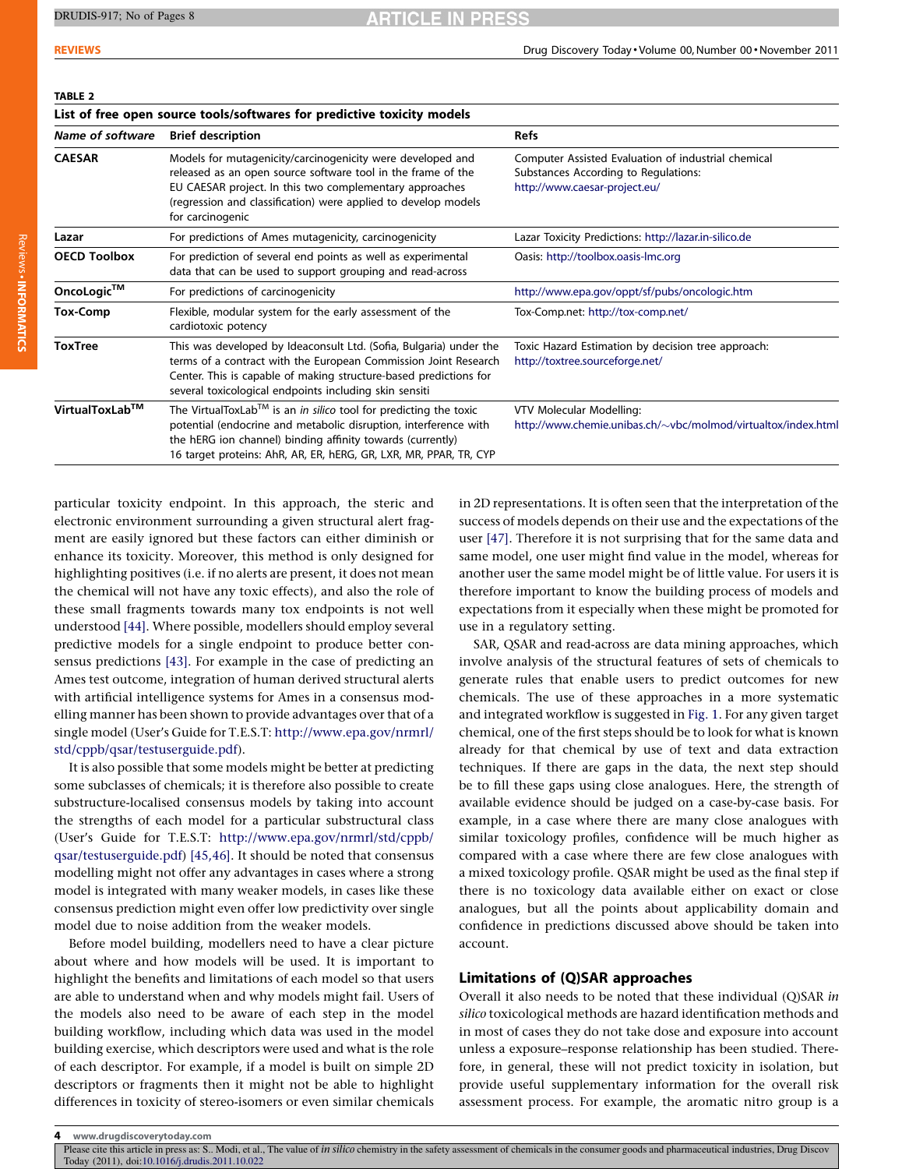<span id="page-3-0"></span>

| 1<br>RI<br>ГАІ<br>ч.<br> |  |
|--------------------------|--|

| List of free open source tools/softwares for predictive toxicity models |                                                                                                                                                                                                                                                                                      |                                                                                                                              |
|-------------------------------------------------------------------------|--------------------------------------------------------------------------------------------------------------------------------------------------------------------------------------------------------------------------------------------------------------------------------------|------------------------------------------------------------------------------------------------------------------------------|
| <b>Name of software</b>                                                 | <b>Brief description</b>                                                                                                                                                                                                                                                             | <b>Refs</b>                                                                                                                  |
| <b>CAESAR</b>                                                           | Models for mutagenicity/carcinogenicity were developed and<br>released as an open source software tool in the frame of the<br>EU CAESAR project. In this two complementary approaches<br>(regression and classification) were applied to develop models<br>for carcinogenic          | Computer Assisted Evaluation of industrial chemical<br>Substances According to Regulations:<br>http://www.caesar-project.eu/ |
| Lazar                                                                   | For predictions of Ames mutagenicity, carcinogenicity                                                                                                                                                                                                                                | Lazar Toxicity Predictions: http://lazar.in-silico.de                                                                        |
| <b>OECD Toolbox</b>                                                     | For prediction of several end points as well as experimental<br>data that can be used to support grouping and read-across                                                                                                                                                            | Oasis: http://toolbox.oasis-lmc.org                                                                                          |
| OncoLogic™                                                              | For predictions of carcinogenicity                                                                                                                                                                                                                                                   | http://www.epa.gov/oppt/sf/pubs/oncologic.htm                                                                                |
| <b>Tox-Comp</b>                                                         | Flexible, modular system for the early assessment of the<br>cardiotoxic potency                                                                                                                                                                                                      | Tox-Comp.net: http://tox-comp.net/                                                                                           |
| <b>ToxTree</b>                                                          | This was developed by Ideaconsult Ltd. (Sofia, Bulgaria) under the<br>terms of a contract with the European Commission Joint Research<br>Center. This is capable of making structure-based predictions for<br>several toxicological endpoints including skin sensiti                 | Toxic Hazard Estimation by decision tree approach:<br>http://toxtree.sourceforge.net/                                        |
| VirtualToxLab™                                                          | The VirtualToxLab <sup>TM</sup> is an in silico tool for predicting the toxic<br>potential (endocrine and metabolic disruption, interference with<br>the hERG ion channel) binding affinity towards (currently)<br>16 target proteins: AhR, AR, ER, hERG, GR, LXR, MR, PPAR, TR, CYP | VTV Molecular Modelling:<br>http://www.chemie.unibas.ch/~vbc/molmod/virtualtox/index.html                                    |

particular toxicity endpoint. In this approach, the steric and electronic environment surrounding a given structural alert fragment are easily ignored but these factors can either diminish or enhance its toxicity. Moreover, this method is only designed for highlighting positives (i.e. if no alerts are present, it does not mean the chemical will not have any toxic effects), and also the role of these small fragments towards many tox endpoints is not well understood [\[44\]](#page-7-0). Where possible, modellers should employ several predictive models for a single endpoint to produce better consensus predictions [\[43\].](#page-7-0) For example in the case of predicting an Ames test outcome, integration of human derived structural alerts with artificial intelligence systems for Ames in a consensus modelling manner has been shown to provide advantages over that of a single model (User's Guide for T.E.S.T: [http://www.epa.gov/nrmrl/](http://www.epa.gov/nrmrl/std/cppb/qsar/testuserguide.pdf) [std/cppb/qsar/testuserguide.pdf](http://www.epa.gov/nrmrl/std/cppb/qsar/testuserguide.pdf)).

It is also possible that some models might be better at predicting some subclasses of chemicals; it is therefore also possible to create substructure-localised consensus models by taking into account the strengths of each model for a particular substructural class (User's Guide for T.E.S.T: [http://www.epa.gov/nrmrl/std/cppb/](http://www.epa.gov/nrmrl/std/cppb/qsar/testuserguide.pdf) [qsar/testuserguide.pdf\)](http://www.epa.gov/nrmrl/std/cppb/qsar/testuserguide.pdf) [\[45,46\].](#page-7-0) It should be noted that consensus modelling might not offer any advantages in cases where a strong model is integrated with many weaker models, in cases like these consensus prediction might even offer low predictivity over single model due to noise addition from the weaker models.

Before model building, modellers need to have a clear picture about where and how models will be used. It is important to highlight the benefits and limitations of each model so that users are able to understand when and why models might fail. Users of the models also need to be aware of each step in the model building workflow, including which data was used in the model building exercise, which descriptors were used and what is the role of each descriptor. For example, if a model is built on simple 2D descriptors or fragments then it might not be able to highlight differences in toxicity of stereo-isomers or even similar chemicals

in 2D representations. It is often seen that the interpretation of the success of models depends on their use and the expectations of the user [\[47\].](#page-7-0) Therefore it is not surprising that for the same data and same model, one user might find value in the model, whereas for another user the same model might be of little value. For users it is therefore important to know the building process of models and expectations from it especially when these might be promoted for use in a regulatory setting.

SAR, QSAR and read-across are data mining approaches, which involve analysis of the structural features of sets of chemicals to generate rules that enable users to predict outcomes for new chemicals. The use of these approaches in a more systematic and integrated workflow is suggested in [Fig.](#page-4-0) 1. For any given target chemical, one of the first steps should be to look for what is known already for that chemical by use of text and data extraction techniques. If there are gaps in the data, the next step should be to fill these gaps using close analogues. Here, the strength of available evidence should be judged on a case-by-case basis. For example, in a case where there are many close analogues with similar toxicology profiles, confidence will be much higher as compared with a case where there are few close analogues with a mixed toxicology profile. QSAR might be used as the final step if there is no toxicology data available either on exact or close analogues, but all the points about applicability domain and confidence in predictions discussed above should be taken into account.

#### Limitations of (Q)SAR approaches

Overall it also needs to be noted that these individual (Q)SAR in silico toxicological methods are hazard identification methods and in most of cases they do not take dose and exposure into account unless a exposure–response relationship has been studied. Therefore, in general, these will not predict toxicity in isolation, but provide useful supplementary information for the overall risk assessment process. For example, the aromatic nitro group is a

Please cite this article in press as: S.. Modi, et al., The value of in silico chemistry in the safety assessment of chemicals in the consumer goods and pharmaceutical industries, Drug Discov Today (2011), doi:[10.1016/j.drudis.2011.10.022](http://dx.doi.org/10.1016/j.drudis.2011.10.022)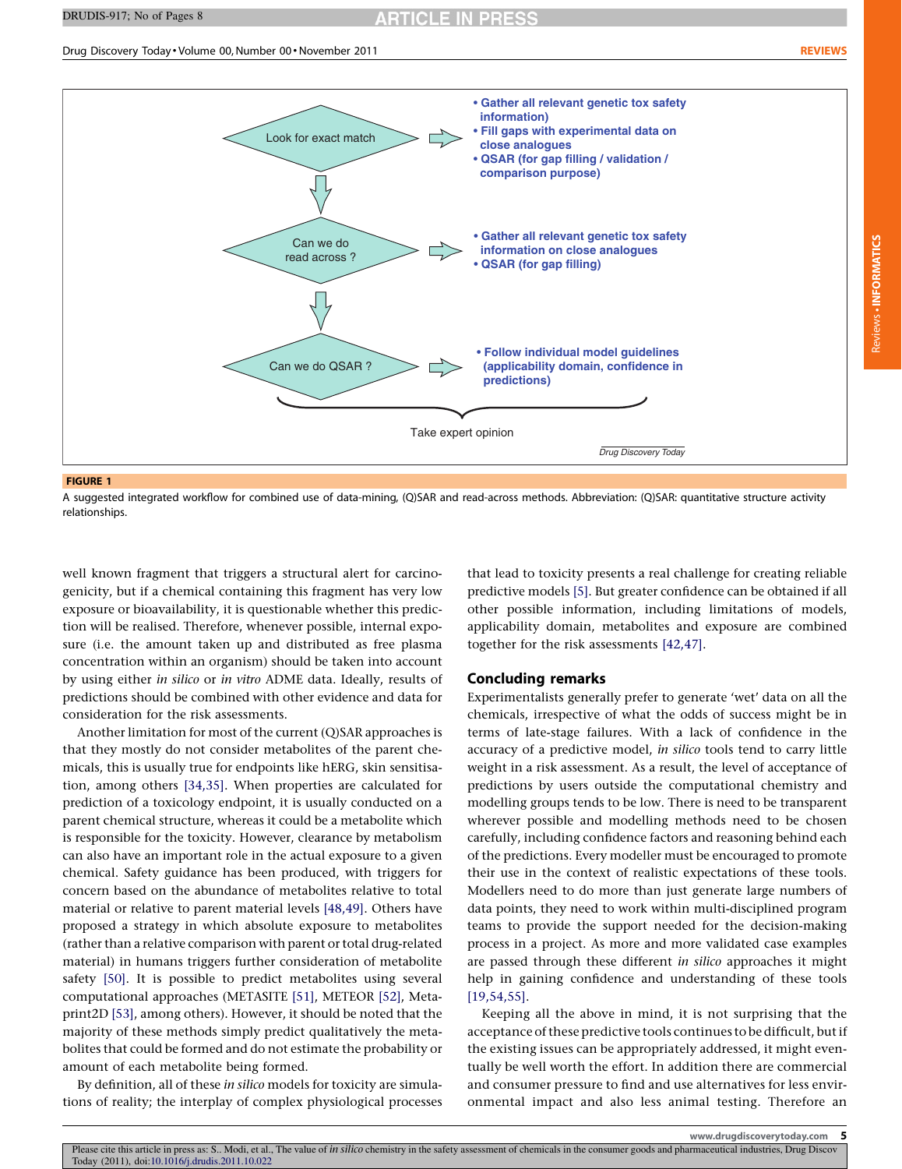<span id="page-4-0"></span>



FIGURE 1

A suggested integrated workflow for combined use of data-mining, (Q)SAR and read-across methods. Abbreviation: (Q)SAR: quantitative structure activity relationships.

well known fragment that triggers a structural alert for carcinogenicity, but if a chemical containing this fragment has very low exposure or bioavailability, it is questionable whether this prediction will be realised. Therefore, whenever possible, internal exposure (i.e. the amount taken up and distributed as free plasma concentration within an organism) should be taken into account by using either in silico or in vitro ADME data. Ideally, results of predictions should be combined with other evidence and data for consideration for the risk assessments.

Another limitation for most of the current (Q)SAR approaches is that they mostly do not consider metabolites of the parent chemicals, this is usually true for endpoints like hERG, skin sensitisation, among others [\[34,35\]](#page-7-0). When properties are calculated for prediction of a toxicology endpoint, it is usually conducted on a parent chemical structure, whereas it could be a metabolite which is responsible for the toxicity. However, clearance by metabolism can also have an important role in the actual exposure to a given chemical. Safety guidance has been produced, with triggers for concern based on the abundance of metabolites relative to total material or relative to parent material levels [\[48,49\]](#page-7-0). Others have proposed a strategy in which absolute exposure to metabolites (rather than a relative comparison with parent or total drug-related material) in humans triggers further consideration of metabolite safety [\[50\]](#page-7-0). It is possible to predict metabolites using several computational approaches (METASITE [\[51\],](#page-7-0) METEOR [\[52\]](#page-7-0), Metaprint2D [\[53\]](#page-7-0), among others). However, it should be noted that the majority of these methods simply predict qualitatively the metabolites that could be formed and do not estimate the probability or amount of each metabolite being formed.

By definition, all of these in silico models for toxicity are simulations of reality; the interplay of complex physiological processes

that lead to toxicity presents a real challenge for creating reliable predictive models [\[5\].](#page-6-0) But greater confidence can be obtained if all other possible information, including limitations of models, applicability domain, metabolites and exposure are combined together for the risk assessments [\[42,47\]](#page-7-0).

#### Concluding remarks

Experimentalists generally prefer to generate 'wet' data on all the chemicals, irrespective of what the odds of success might be in terms of late-stage failures. With a lack of confidence in the accuracy of a predictive model, in silico tools tend to carry little weight in a risk assessment. As a result, the level of acceptance of predictions by users outside the computational chemistry and modelling groups tends to be low. There is need to be transparent wherever possible and modelling methods need to be chosen carefully, including confidence factors and reasoning behind each of the predictions. Every modeller must be encouraged to promote their use in the context of realistic expectations of these tools. Modellers need to do more than just generate large numbers of data points, they need to work within multi-disciplined program teams to provide the support needed for the decision-making process in a project. As more and more validated case examples are passed through these different in silico approaches it might help in gaining confidence and understanding of these tools [\[19,54,55\]](#page-7-0).

Keeping all the above in mind, it is not surprising that the acceptance of these predictive tools continues to be difficult, but if the existing issues can be appropriately addressed, it might eventually be well worth the effort. In addition there are commercial and consumer pressure to find and use alternatives for less environmental impact and also less animal testing. Therefore an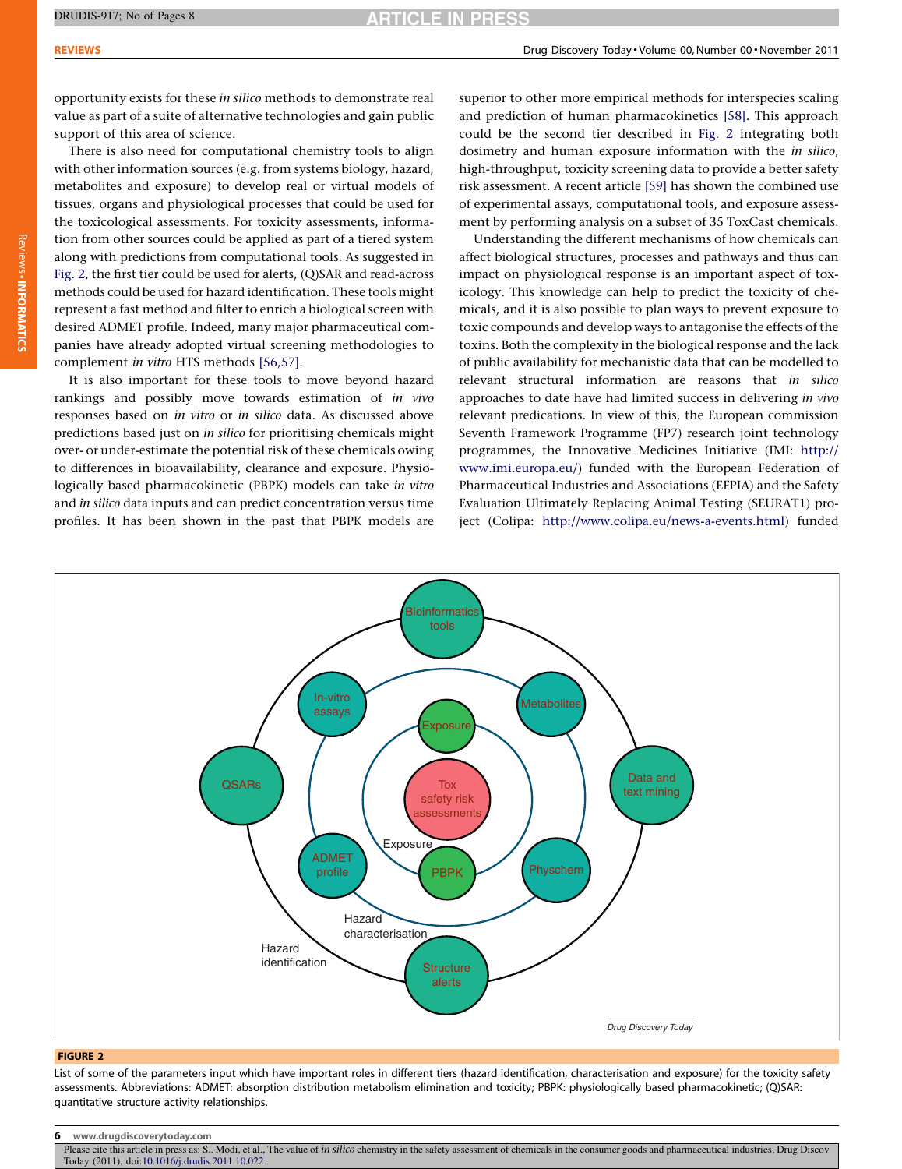Reviews -

INFORMATICS

opportunity exists for these in silico methods to demonstrate real value as part of a suite of alternative technologies and gain public support of this area of science.

There is also need for computational chemistry tools to align with other information sources (e.g. from systems biology, hazard, metabolites and exposure) to develop real or virtual models of tissues, organs and physiological processes that could be used for the toxicological assessments. For toxicity assessments, information from other sources could be applied as part of a tiered system along with predictions from computational tools. As suggested in Fig. 2, the first tier could be used for alerts, (Q)SAR and read-across methods could be used for hazard identification. These tools might represent a fast method and filter to enrich a biological screen with desired ADMET profile. Indeed, many major pharmaceutical companies have already adopted virtual screening methodologies to complement in vitro HTS methods [\[56,57\]](#page-7-0).

It is also important for these tools to move beyond hazard rankings and possibly move towards estimation of in vivo responses based on in vitro or in silico data. As discussed above predictions based just on in silico for prioritising chemicals might over- or under-estimate the potential risk of these chemicals owing to differences in bioavailability, clearance and exposure. Physiologically based pharmacokinetic (PBPK) models can take in vitro and in silico data inputs and can predict concentration versus time profiles. It has been shown in the past that PBPK models are superior to other more empirical methods for interspecies scaling and prediction of human pharmacokinetics [\[58\].](#page-7-0) This approach could be the second tier described in Fig. 2 integrating both dosimetry and human exposure information with the in silico, high-throughput, toxicity screening data to provide a better safety risk assessment. A recent article [\[59\]](#page-7-0) has shown the combined use of experimental assays, computational tools, and exposure assessment by performing analysis on a subset of 35 ToxCast chemicals.

Understanding the different mechanisms of how chemicals can affect biological structures, processes and pathways and thus can impact on physiological response is an important aspect of toxicology. This knowledge can help to predict the toxicity of chemicals, and it is also possible to plan ways to prevent exposure to toxic compounds and develop ways to antagonise the effects of the toxins. Both the complexity in the biological response and the lack of public availability for mechanistic data that can be modelled to relevant structural information are reasons that in silico approaches to date have had limited success in delivering in vivo relevant predications. In view of this, the European commission Seventh Framework Programme (FP7) research joint technology programmes, the Innovative Medicines Initiative (IMI: [http://](http://www.imi.europa.eu/) [www.imi.europa.eu/\)](http://www.imi.europa.eu/) funded with the European Federation of Pharmaceutical Industries and Associations (EFPIA) and the Safety Evaluation Ultimately Replacing Animal Testing (SEURAT1) project (Colipa: <http://www.colipa.eu/news-a-events.html>) funded



#### FIGURE 2

List of some of the parameters input which have important roles in different tiers (hazard identification, characterisation and exposure) for the toxicity safety assessments. Abbreviations: ADMET: absorption distribution metabolism elimination and toxicity; PBPK: physiologically based pharmacokinetic; (Q)SAR: quantitative structure activity relationships.

<sup>6</sup> www.drugdiscoverytoday.com

Please cite this article in press as: S.. Modi, et al., The value of in silico chemistry in the safety assessment of chemicals in the consumer goods and pharmaceutical industries, Drug Discov Today (2011), doi:[10.1016/j.drudis.2011.10.022](http://dx.doi.org/10.1016/j.drudis.2011.10.022)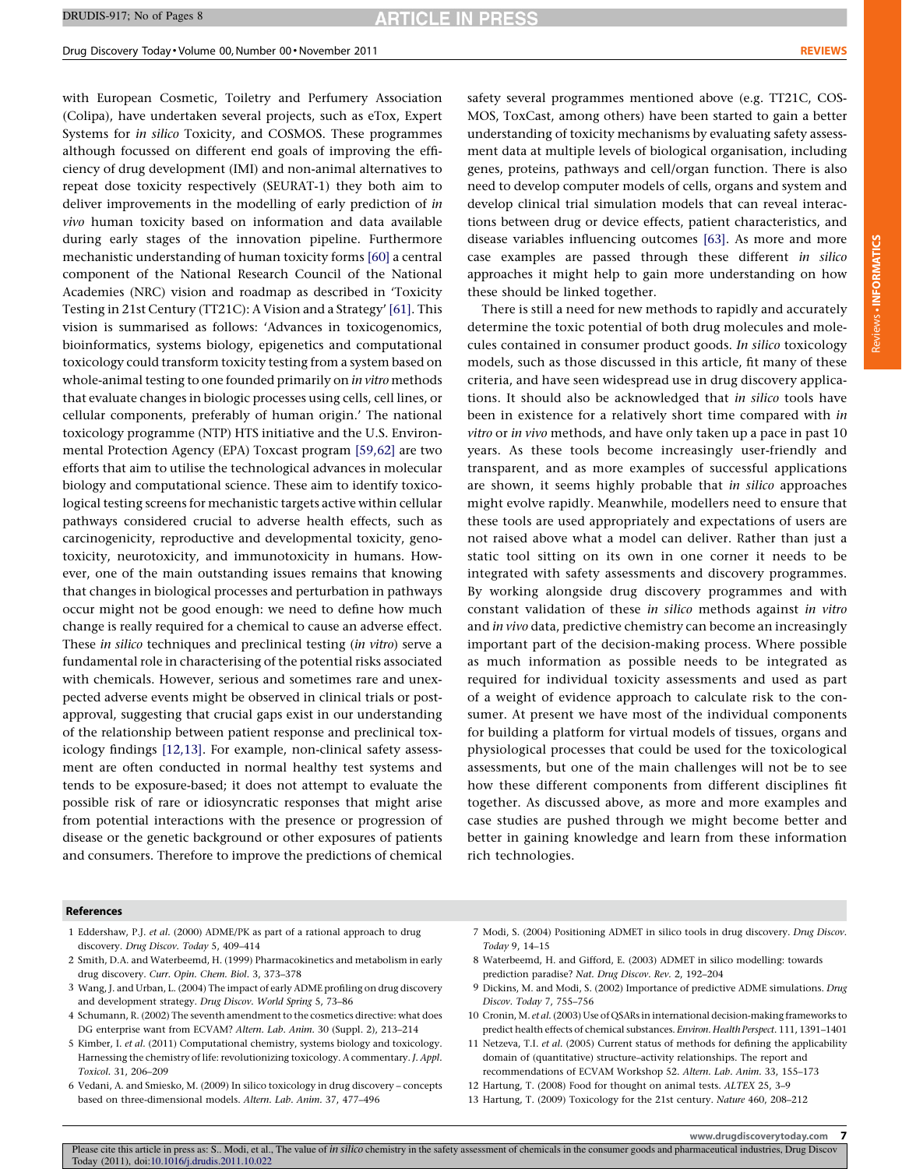Reviews -

#### <span id="page-6-0"></span>Drug Discovery Today • Volume 00, Number 00 • November 2011 Reviews And March 2011 And March 2011 REVIEWS And Ma

with European Cosmetic, Toiletry and Perfumery Association (Colipa), have undertaken several projects, such as eTox, Expert Systems for in silico Toxicity, and COSMOS. These programmes although focussed on different end goals of improving the efficiency of drug development (IMI) and non-animal alternatives to repeat dose toxicity respectively (SEURAT-1) they both aim to deliver improvements in the modelling of early prediction of in vivo human toxicity based on information and data available during early stages of the innovation pipeline. Furthermore mechanistic understanding of human toxicity forms [\[60\]](#page-7-0) a central component of the National Research Council of the National Academies (NRC) vision and roadmap as described in 'Toxicity Testing in 21st Century (TT21C): A Vision and a Strategy' [\[61\]](#page-7-0). This vision is summarised as follows: 'Advances in toxicogenomics, bioinformatics, systems biology, epigenetics and computational toxicology could transform toxicity testing from a system based on whole-animal testing to one founded primarily on in vitro methods that evaluate changes in biologic processes using cells, cell lines, or cellular components, preferably of human origin.' The national toxicology programme (NTP) HTS initiative and the U.S. Environmental Protection Agency (EPA) Toxcast program [\[59,62\]](#page-7-0) are two efforts that aim to utilise the technological advances in molecular biology and computational science. These aim to identify toxicological testing screens for mechanistic targets active within cellular pathways considered crucial to adverse health effects, such as carcinogenicity, reproductive and developmental toxicity, genotoxicity, neurotoxicity, and immunotoxicity in humans. However, one of the main outstanding issues remains that knowing that changes in biological processes and perturbation in pathways occur might not be good enough: we need to define how much change is really required for a chemical to cause an adverse effect. These in silico techniques and preclinical testing (in vitro) serve a fundamental role in characterising of the potential risks associated with chemicals. However, serious and sometimes rare and unexpected adverse events might be observed in clinical trials or postapproval, suggesting that crucial gaps exist in our understanding of the relationship between patient response and preclinical toxicology findings [12,13]. For example, non-clinical safety assessment are often conducted in normal healthy test systems and tends to be exposure-based; it does not attempt to evaluate the possible risk of rare or idiosyncratic responses that might arise from potential interactions with the presence or progression of disease or the genetic background or other exposures of patients and consumers. Therefore to improve the predictions of chemical

safety several programmes mentioned above (e.g. TT21C, COS-MOS, ToxCast, among others) have been started to gain a better understanding of toxicity mechanisms by evaluating safety assessment data at multiple levels of biological organisation, including genes, proteins, pathways and cell/organ function. There is also need to develop computer models of cells, organs and system and develop clinical trial simulation models that can reveal interactions between drug or device effects, patient characteristics, and disease variables influencing outcomes [\[63\]](#page-7-0). As more and more case examples are passed through these different in silico approaches it might help to gain more understanding on how these should be linked together.

There is still a need for new methods to rapidly and accurately determine the toxic potential of both drug molecules and molecules contained in consumer product goods. In silico toxicology models, such as those discussed in this article, fit many of these criteria, and have seen widespread use in drug discovery applications. It should also be acknowledged that in silico tools have been in existence for a relatively short time compared with in vitro or in vivo methods, and have only taken up a pace in past 10 years. As these tools become increasingly user-friendly and transparent, and as more examples of successful applications are shown, it seems highly probable that in silico approaches might evolve rapidly. Meanwhile, modellers need to ensure that these tools are used appropriately and expectations of users are not raised above what a model can deliver. Rather than just a static tool sitting on its own in one corner it needs to be integrated with safety assessments and discovery programmes. By working alongside drug discovery programmes and with constant validation of these in silico methods against in vitro and in vivo data, predictive chemistry can become an increasingly important part of the decision-making process. Where possible as much information as possible needs to be integrated as required for individual toxicity assessments and used as part of a weight of evidence approach to calculate risk to the consumer. At present we have most of the individual components for building a platform for virtual models of tissues, organs and physiological processes that could be used for the toxicological assessments, but one of the main challenges will not be to see how these different components from different disciplines fit together. As discussed above, as more and more examples and case studies are pushed through we might become better and better in gaining knowledge and learn from these information rich technologies.

#### References

- 1 Eddershaw, P.J. et al. (2000) ADME/PK as part of a rational approach to drug discovery. Drug Discov. Today 5, 409–414
- 2 Smith, D.A. and Waterbeemd, H. (1999) Pharmacokinetics and metabolism in early drug discovery. Curr. Opin. Chem. Biol. 3, 373–378
- 3 Wang, J. and Urban, L. (2004) The impact of early ADME profiling on drug discovery and development strategy. Drug Discov. World Spring 5, 73–86
- 4 Schumann, R. (2002) The seventh amendment to the cosmetics directive: what does DG enterprise want from ECVAM? Altern. Lab. Anim. 30 (Suppl. 2), 213–214
- 5 Kimber, I. et al. (2011) Computational chemistry, systems biology and toxicology. Harnessing the chemistry of life: revolutionizing toxicology. A commentary. J. Appl. Toxicol. 31, 206–209
- 6 Vedani, A. and Smiesko, M. (2009) In silico toxicology in drug discovery concepts based on three-dimensional models. Altern. Lab. Anim. 37, 477–496
- 7 Modi, S. (2004) Positioning ADMET in silico tools in drug discovery. Drug Discov. Today 9, 14–15
- 8 Waterbeemd, H. and Gifford, E. (2003) ADMET in silico modelling: towards prediction paradise? Nat. Drug Discov. Rev. 2, 192–204
- 9 Dickins, M. and Modi, S. (2002) Importance of predictive ADME simulations. Drug Discov. Today 7, 755–756
- 10 Cronin, M. et al.(2003) Use of QSARs in international decision-making frameworks to predict health effects of chemical substances. Environ. Health Perspect. 111, 1391–1401
- 11 Netzeva, T.I. et al. (2005) Current status of methods for defining the applicability domain of (quantitative) structure–activity relationships. The report and recommendations of ECVAM Workshop 52. Altern. Lab. Anim. 33, 155–173
- 12 Hartung, T. (2008) Food for thought on animal tests. ALTEX 25, 3–9
- 13 Hartung, T. (2009) Toxicology for the 21st century. Nature 460, 208–212

Please cite this article in press as: S.. Modi, et al., The value of in silico chemistry in the safety assessment of chemicals in the consumer goods and pharmaceutical industries, Drug Discov Today (2011), doi[:10.1016/j.drudis.2011.10.022](http://dx.doi.org/10.1016/j.drudis.2011.10.022) www.drugdiscoverytoday.com 7